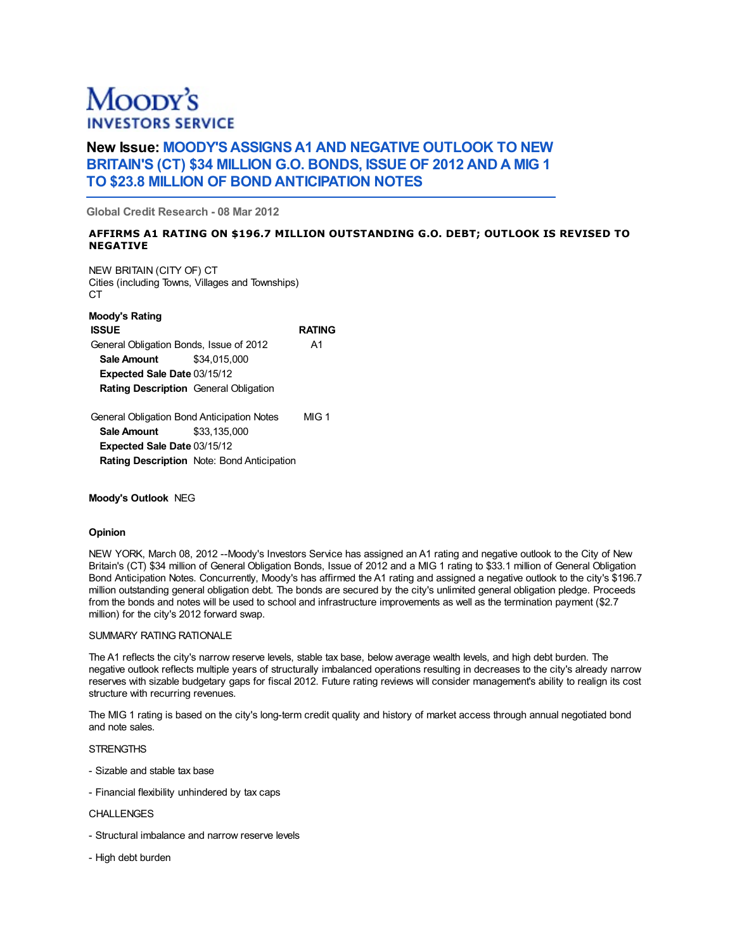# Moopy's **INVESTORS SERVICE**

# **New Issue: MOODY'SASSIGNSA1 AND NEGATIVE OUTLOOK TO NEW BRITAIN'S (CT) \$34 MILLION G.O. BONDS, ISSUE OF 2012 AND A MIG 1 TO \$23.8 MILLION OF BOND ANTICIPATION NOTES**

**Global Credit Research - 08 Mar 2012**

# **AFFIRMS A1 RATING ON \$196.7 MILLION OUTSTANDING G.O. DEBT; OUTLOOK IS REVISED TO NEGATIVE**

NEW BRITAIN (CITY OF) CT Cities (including Towns, Villages and Townships) CT

| Moody's Rating                          |                                              |               |
|-----------------------------------------|----------------------------------------------|---------------|
| <b>ISSUE</b>                            |                                              | <b>RATING</b> |
| General Obligation Bonds, Issue of 2012 |                                              | A1            |
| <b>Sale Amount</b>                      | \$34.015.000                                 |               |
| Expected Sale Date 03/15/12             |                                              |               |
|                                         | <b>Rating Description</b> General Obligation |               |
|                                         |                                              |               |

General Obligation Bond Anticipation Notes MIG 1 **Sale Amount** \$33,135,000 **Expected Sale Date** 03/15/12 **Rating Description** Note: Bond Anticipation

# **Moody's Outlook** NEG

# **Opinion**

NEW YORK, March 08, 2012 --Moody's Investors Service has assigned an A1 rating and negative outlook to the City of New Britain's (CT) \$34 million of General Obligation Bonds, Issue of 2012 and a MIG 1 rating to \$33.1 million of General Obligation Bond Anticipation Notes. Concurrently, Moody's has affirmed the A1 rating and assigned a negative outlook to the city's \$196.7 million outstanding general obligation debt. The bonds are secured by the city's unlimited general obligation pledge. Proceeds from the bonds and notes will be used to school and infrastructure improvements as well as the termination payment (\$2.7 million) for the city's 2012 forward swap.

# SUMMARY RATING RATIONALE

The A1 reflects the city's narrow reserve levels, stable tax base, below average wealth levels, and high debt burden. The negative outlook reflects multiple years of structurally imbalanced operations resulting in decreases to the city's already narrow reserves with sizable budgetary gaps for fiscal 2012. Future rating reviews will consider management's ability to realign its cost structure with recurring revenues.

The MIG 1 rating is based on the city's long-term credit quality and history of market access through annual negotiated bond and note sales.

# **STRENGTHS**

- Sizable and stable tax base
- Financial flexibility unhindered by tax caps

# CHALLENGES

- Structural imbalance and narrow reserve levels
- High debt burden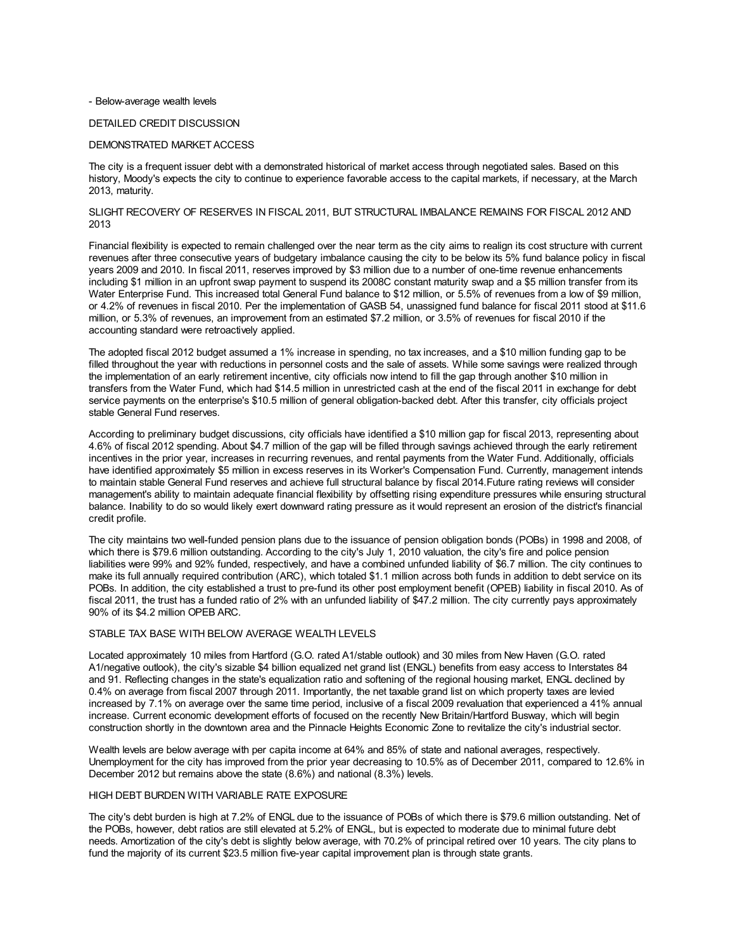#### - Below-average wealth levels

# DETAILED CREDIT DISCUSSION

# DEMONSTRATED MARKET ACCESS

The city is a frequent issuer debt with a demonstrated historical of market access through negotiated sales. Based on this history, Moody's expects the city to continue to experience favorable access to the capital markets, if necessary, at the March 2013, maturity.

# SLIGHT RECOVERY OF RESERVES IN FISCAL 2011, BUT STRUCTURAL IMBALANCE REMAINS FOR FISCAL 2012 AND 2013

Financial flexibility is expected to remain challenged over the near term as the city aims to realign its cost structure with current revenues after three consecutive years of budgetary imbalance causing the city to be below its 5% fund balance policy in fiscal years 2009 and 2010. In fiscal 2011, reserves improved by \$3 million due to a number of one-time revenue enhancements including \$1 million in an upfront swap payment to suspend its 2008C constant maturity swap and a \$5 million transfer from its Water Enterprise Fund. This increased total General Fund balance to \$12 million, or 5.5% of revenues from a low of \$9 million, or 4.2% of revenues in fiscal 2010. Per the implementation of GASB 54, unassigned fund balance for fiscal 2011 stood at \$11.6 million, or 5.3% of revenues, an improvement from an estimated \$7.2 million, or 3.5% of revenues for fiscal 2010 if the accounting standard were retroactively applied.

The adopted fiscal 2012 budget assumed a 1% increase in spending, no tax increases, and a \$10 million funding gap to be filled throughout the year with reductions in personnel costs and the sale of assets. While some savings were realized through the implementation of an early retirement incentive, city officials now intend to fill the gap through another \$10 million in transfers from the Water Fund, which had \$14.5 million in unrestricted cash at the end of the fiscal 2011 in exchange for debt service payments on the enterprise's \$10.5 million of general obligation-backed debt. After this transfer, city officials project stable General Fund reserves.

According to preliminary budget discussions, city officials have identified a \$10 million gap for fiscal 2013, representing about 4.6% of fiscal 2012 spending. About \$4.7 million of the gap will be filled through savings achieved through the early retirement incentives in the prior year, increases in recurring revenues, and rental payments from the Water Fund. Additionally, officials have identified approximately \$5 million in excess reserves in its Worker's Compensation Fund. Currently, management intends to maintain stable General Fund reserves and achieve full structural balance by fiscal 2014.Future rating reviews will consider management's ability to maintain adequate financial flexibility by offsetting rising expenditure pressures while ensuring structural balance. Inability to do so would likely exert downward rating pressure as it would represent an erosion of the district's financial credit profile.

The city maintains two well-funded pension plans due to the issuance of pension obligation bonds (POBs) in 1998 and 2008, of which there is \$79.6 million outstanding. According to the city's July 1, 2010 valuation, the city's fire and police pension liabilities were 99% and 92% funded, respectively, and have a combined unfunded liability of \$6.7 million. The city continues to make its full annually required contribution (ARC), which totaled \$1.1 million across both funds in addition to debt service on its POBs. In addition, the city established a trust to pre-fund its other post employment benefit (OPEB) liability in fiscal 2010. As of fiscal 2011, the trust has a funded ratio of 2% with an unfunded liability of \$47.2 million. The city currently pays approximately 90% of its \$4.2 million OPEB ARC.

# STABLE TAX BASE WITH BELOW AVERAGE WEALTH LEVELS

Located approximately 10 miles from Hartford (G.O. rated A1/stable outlook) and 30 miles from New Haven (G.O. rated A1/negative outlook), the city's sizable \$4 billion equalized net grand list (ENGL) benefits from easy access to Interstates 84 and 91. Reflecting changes in the state's equalization ratio and softening of the regional housing market, ENGL declined by 0.4% on average from fiscal 2007 through 2011. Importantly, the net taxable grand list on which property taxes are levied increased by 7.1% on average over the same time period, inclusive of a fiscal 2009 revaluation that experienced a 41% annual increase. Current economic development efforts of focused on the recently New Britain/Hartford Busway, which will begin construction shortly in the downtown area and the Pinnacle Heights Economic Zone to revitalize the city's industrial sector.

Wealth levels are below average with per capita income at 64% and 85% of state and national averages, respectively. Unemployment for the city has improved from the prior year decreasing to 10.5% as of December 2011, compared to 12.6% in December 2012 but remains above the state (8.6%) and national (8.3%) levels.

# HIGH DEBT BURDEN WITH VARIABLE RATE EXPOSURE

The city's debt burden is high at 7.2% of ENGL due to the issuance of POBs of which there is \$79.6 million outstanding. Net of the POBs, however, debt ratios are still elevated at 5.2% of ENGL, but is expected to moderate due to minimal future debt needs. Amortization of the city's debt is slightly below average, with 70.2% of principal retired over 10 years. The city plans to fund the majority of its current \$23.5 million five-year capital improvement plan is through state grants.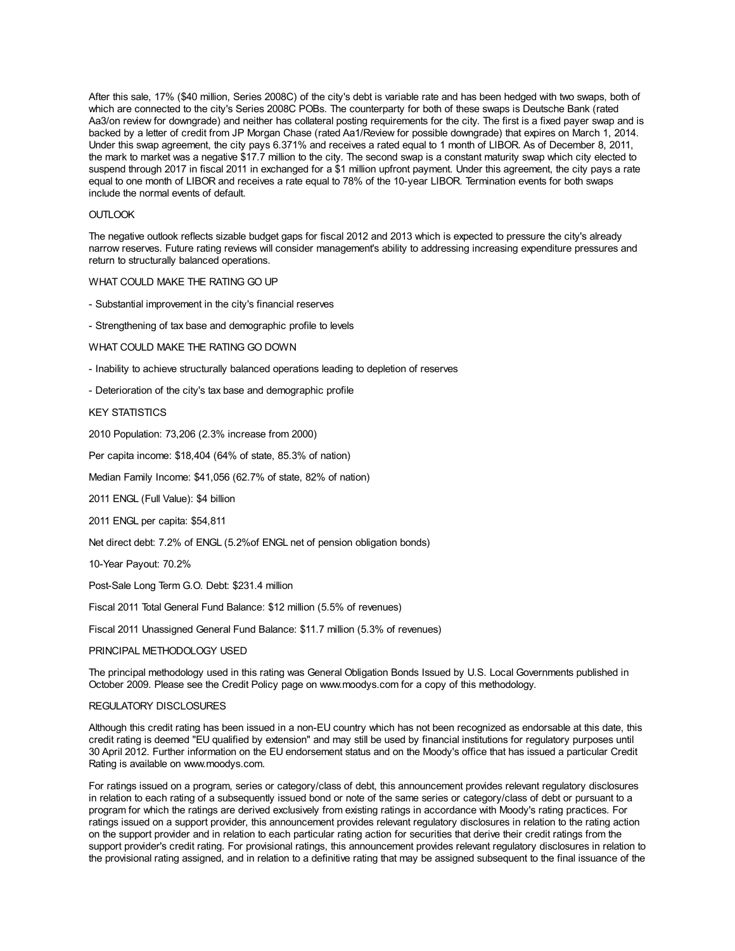After this sale, 17% (\$40 million, Series 2008C) of the city's debt is variable rate and has been hedged with two swaps, both of which are connected to the city's Series 2008C POBs. The counterparty for both of these swaps is Deutsche Bank (rated Aa3/on review for downgrade) and neither has collateral posting requirements for the city. The first is a fixed payer swap and is backed by a letter of credit from JP Morgan Chase (rated Aa1/Review for possible downgrade) that expires on March 1, 2014. Under this swap agreement, the city pays 6.371% and receives a rated equal to 1 month of LIBOR. As of December 8, 2011, the mark to market was a negative \$17.7 million to the city. The second swap is a constant maturity swap which city elected to suspend through 2017 in fiscal 2011 in exchanged for a \$1 million upfront payment. Under this agreement, the city pays a rate equal to one month of LIBOR and receives a rate equal to 78% of the 10-year LIBOR. Termination events for both swaps include the normal events of default.

# $O$ UTL $O$ OK

The negative outlook reflects sizable budget gaps for fiscal 2012 and 2013 which is expected to pressure the city's already narrow reserves. Future rating reviews will consider management's ability to addressing increasing expenditure pressures and return to structurally balanced operations.

WHAT COULD MAKE THE RATING GO UP

- Substantial improvement in the city's financial reserves

- Strengthening of tax base and demographic profile to levels

WHAT COULD MAKE THE RATING GO DOWN

- Inability to achieve structurally balanced operations leading to depletion of reserves

- Deterioration of the city's tax base and demographic profile

# KEY STATISTICS

2010 Population: 73,206 (2.3% increase from 2000)

Per capita income: \$18,404 (64% of state, 85.3% of nation)

Median Family Income: \$41,056 (62.7% of state, 82% of nation)

2011 ENGL (Full Value): \$4 billion

2011 ENGL per capita: \$54,811

Net direct debt: 7.2% of ENGL (5.2%of ENGL net of pension obligation bonds)

10-Year Payout: 70.2%

Post-Sale Long Term G.O. Debt: \$231.4 million

Fiscal 2011 Total General Fund Balance: \$12 million (5.5% of revenues)

Fiscal 2011 Unassigned General Fund Balance: \$11.7 million (5.3% of revenues)

# PRINCIPAL METHODOLOGY USED

The principal methodology used in this rating was General Obligation Bonds Issued by U.S. Local Governments published in October 2009. Please see the Credit Policy page on www.moodys.com for a copy of this methodology.

# REGULATORY DISCLOSURES

Although this credit rating has been issued in a non-EU country which has not been recognized as endorsable at this date, this credit rating is deemed "EU qualified by extension" and may still be used by financial institutions for regulatory purposes until 30 April 2012. Further information on the EU endorsement status and on the Moody's office that has issued a particular Credit Rating is available on www.moodys.com.

For ratings issued on a program, series or category/class of debt, this announcement provides relevant regulatory disclosures in relation to each rating of a subsequently issued bond or note of the same series or category/class of debt or pursuant to a program for which the ratings are derived exclusively from existing ratings in accordance with Moody's rating practices. For ratings issued on a support provider, this announcement provides relevant regulatory disclosures in relation to the rating action on the support provider and in relation to each particular rating action for securities that derive their credit ratings from the support provider's credit rating. For provisional ratings, this announcement provides relevant regulatory disclosures in relation to the provisional rating assigned, and in relation to a definitive rating that may be assigned subsequent to the final issuance of the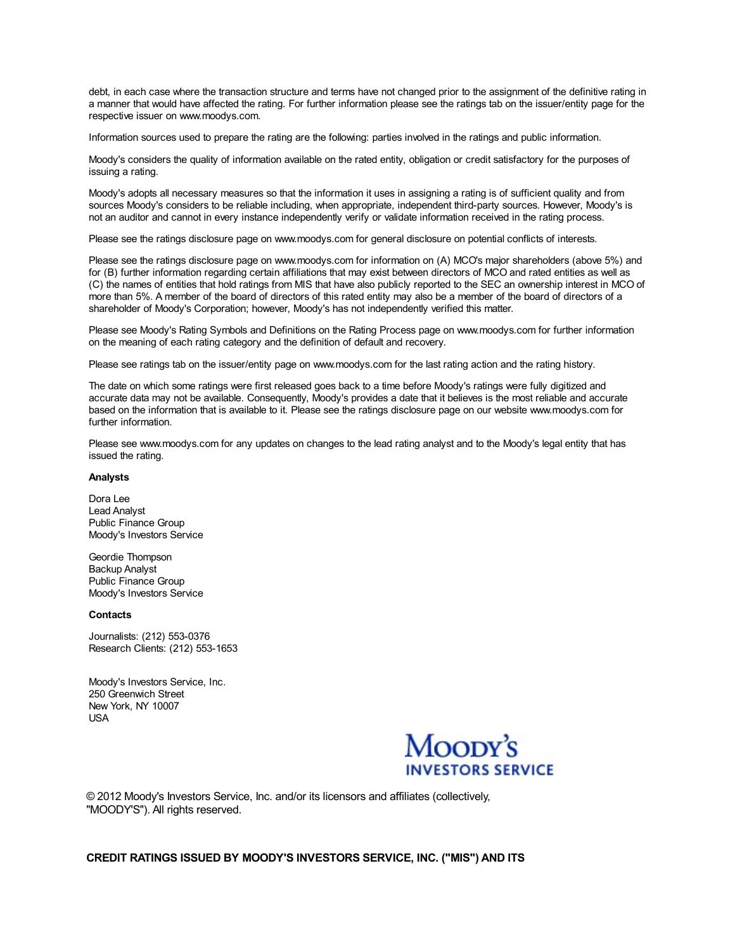debt, in each case where the transaction structure and terms have not changed prior to the assignment of the definitive rating in a manner that would have affected the rating. For further information please see the ratings tab on the issuer/entity page for the respective issuer on www.moodys.com.

Information sources used to prepare the rating are the following: parties involved in the ratings and public information.

Moody's considers the quality of information available on the rated entity, obligation or credit satisfactory for the purposes of issuing a rating.

Moody's adopts all necessary measures so that the information it uses in assigning a rating is of sufficient quality and from sources Moody's considers to be reliable including, when appropriate, independent third-party sources. However, Moody's is not an auditor and cannot in every instance independently verify or validate information received in the rating process.

Please see the ratings disclosure page on www.moodys.com for general disclosure on potential conflicts of interests.

Please see the ratings disclosure page on www.moodys.com for information on (A) MCO's major shareholders (above 5%) and for (B) further information regarding certain affiliations that may exist between directors of MCO and rated entities as well as (C) the names of entities that hold ratings from MIS that have also publicly reported to the SEC an ownership interest in MCO of more than 5%. A member of the board of directors of this rated entity may also be a member of the board of directors of a shareholder of Moody's Corporation; however, Moody's has not independently verified this matter.

Please see Moody's Rating Symbols and Definitions on the Rating Process page on www.moodys.com for further information on the meaning of each rating category and the definition of default and recovery.

Please see ratings tab on the issuer/entity page on www.moodys.com for the last rating action and the rating history.

The date on which some ratings were first released goes back to a time before Moody's ratings were fully digitized and accurate data may not be available. Consequently, Moody's provides a date that it believes is the most reliable and accurate based on the information that is available to it. Please see the ratings disclosure page on our website www.moodys.com for further information.

Please see www.moodys.com for any updates on changes to the lead rating analyst and to the Moody's legal entity that has issued the rating.

# **Analysts**

Dora Lee Lead Analyst Public Finance Group Moody's Investors Service

Geordie Thompson Backup Analyst Public Finance Group Moody's Investors Service

### **Contacts**

Journalists: (212) 553-0376 Research Clients: (212) 553-1653

Moody's Investors Service, Inc. 250 Greenwich Street New York, NY 10007 USA



© 2012 Moody's Investors Service, Inc. and/or its licensors and affiliates (collectively, "MOODY'S"). All rights reserved.

**CREDIT RATINGS ISSUED BY MOODY'S INVESTORS SERVICE, INC. ("MIS") AND ITS**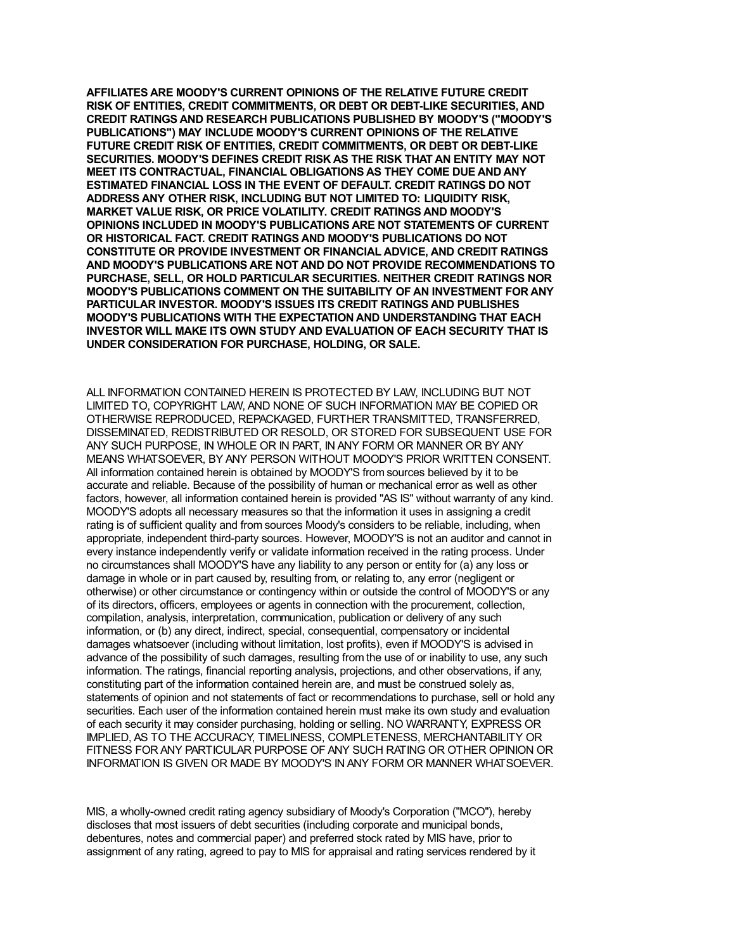**AFFILIATES ARE MOODY'S CURRENT OPINIONS OF THE RELATIVE FUTURE CREDIT RISK OF ENTITIES, CREDIT COMMITMENTS, OR DEBT OR DEBT-LIKE SECURITIES, AND CREDIT RATINGS AND RESEARCH PUBLICATIONS PUBLISHED BY MOODY'S ("MOODY'S PUBLICATIONS") MAY INCLUDE MOODY'S CURRENT OPINIONS OF THE RELATIVE FUTURE CREDIT RISK OF ENTITIES, CREDIT COMMITMENTS, OR DEBT OR DEBT-LIKE SECURITIES. MOODY'S DEFINES CREDIT RISK AS THE RISK THAT AN ENTITY MAY NOT MEET ITS CONTRACTUAL, FINANCIAL OBLIGATIONS AS THEY COME DUE AND ANY ESTIMATED FINANCIAL LOSS IN THE EVENT OF DEFAULT. CREDIT RATINGS DO NOT ADDRESS ANY OTHER RISK, INCLUDING BUT NOT LIMITED TO: LIQUIDITY RISK, MARKET VALUE RISK, OR PRICE VOLATILITY. CREDIT RATINGS AND MOODY'S OPINIONS INCLUDED IN MOODY'S PUBLICATIONS ARE NOT STATEMENTS OF CURRENT OR HISTORICAL FACT. CREDIT RATINGS AND MOODY'S PUBLICATIONS DO NOT CONSTITUTE OR PROVIDE INVESTMENT OR FINANCIAL ADVICE, AND CREDIT RATINGS AND MOODY'S PUBLICATIONS ARE NOT AND DO NOT PROVIDE RECOMMENDATIONS TO PURCHASE, SELL, OR HOLD PARTICULAR SECURITIES. NEITHER CREDIT RATINGS NOR MOODY'S PUBLICATIONS COMMENT ON THE SUITABILITY OF AN INVESTMENT FOR ANY PARTICULAR INVESTOR. MOODY'S ISSUES ITS CREDIT RATINGS AND PUBLISHES MOODY'S PUBLICATIONS WITH THE EXPECTATION AND UNDERSTANDING THAT EACH INVESTOR WILL MAKE ITS OWN STUDY AND EVALUATION OF EACH SECURITY THAT IS UNDER CONSIDERATION FOR PURCHASE, HOLDING, OR SALE.**

ALL INFORMATION CONTAINED HEREIN IS PROTECTED BY LAW, INCLUDING BUT NOT LIMITED TO, COPYRIGHT LAW, AND NONE OF SUCH INFORMATION MAY BE COPIED OR OTHERWISE REPRODUCED, REPACKAGED, FURTHER TRANSMITTED, TRANSFERRED, DISSEMINATED, REDISTRIBUTED OR RESOLD, OR STORED FOR SUBSEQUENT USE FOR ANY SUCH PURPOSE, IN WHOLE OR IN PART, IN ANY FORM OR MANNER OR BY ANY MEANS WHATSOEVER, BY ANY PERSON WITHOUT MOODY'S PRIOR WRITTEN CONSENT. All information contained herein is obtained by MOODY'S from sources believed by it to be accurate and reliable. Because of the possibility of human or mechanical error as well as other factors, however, all information contained herein is provided "AS IS" without warranty of any kind. MOODY'S adopts all necessary measures so that the information it uses in assigning a credit rating is of sufficient quality and from sources Moody's considers to be reliable, including, when appropriate, independent third-party sources. However, MOODY'S is not an auditor and cannot in every instance independently verify or validate information received in the rating process. Under no circumstances shall MOODY'S have any liability to any person or entity for (a) any loss or damage in whole or in part caused by, resulting from, or relating to, any error (negligent or otherwise) or other circumstance or contingency within or outside the control of MOODY'S or any of its directors, officers, employees or agents in connection with the procurement, collection, compilation, analysis, interpretation, communication, publication or delivery of any such information, or (b) any direct, indirect, special, consequential, compensatory or incidental damages whatsoever (including without limitation, lost profits), even if MOODY'S is advised in advance of the possibility of such damages, resulting from the use of or inability to use, any such information. The ratings, financial reporting analysis, projections, and other observations, if any, constituting part of the information contained herein are, and must be construed solely as, statements of opinion and not statements of fact or recommendations to purchase, sell or hold any securities. Each user of the information contained herein must make its own study and evaluation of each security it may consider pur[chasing,](http://www.moodys.com/) holding or selling. NO WARRANTY, EXPRESS OR IMPLIED, AS TO THE ACCURACY, TIMELINESS, COMPLETENESS, MERCHANTABILITY OR FITNESS FOR ANY PARTICULAR PURPOSE OF ANY SUCH RATING OR OTHER OPINION OR INFORMATION IS GIVEN OR MADE BY MOODY'S IN ANY FORM OR MANNER WHATSOEVER.

MIS, a wholly-owned credit rating agency subsidiary of Moody's Corporation ("MCO"), hereby discloses that most issuers of debt securities (including corporate and municipal bonds, debentures, notes and commercial paper) and preferred stock rated by MIS have, prior to assignment of any rating, agreed to pay to MIS for appraisal and rating services rendered by it